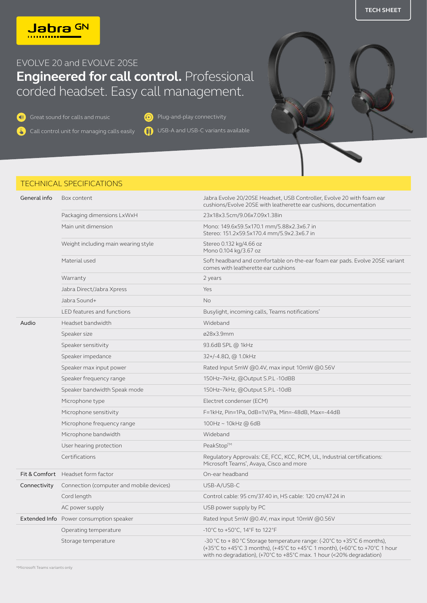**TECH SHEET**



## EVOLVE 20 and EVOLVE 20SE **Engineered for call control.** Professional corded headset. Easy call management.

Great sound for calls and music **Connectivity** Plug-and-play connectivity

**T** Call control unit for managing calls easily USB-A and USB-C variants available

## TECHNICAL SPECIFICATIONS

| General info | Box content                              | Jabra Evolve 20/20SE Headset, USB Controller, Evolve 20 with foam ear<br>cushions/Evolve 20SE with leatherette ear cushions, documentation                                                                                                           |
|--------------|------------------------------------------|------------------------------------------------------------------------------------------------------------------------------------------------------------------------------------------------------------------------------------------------------|
|              | Packaging dimensions LxWxH               | 23x18x3.5cm/9.06x7.09x1.38in                                                                                                                                                                                                                         |
|              | Main unit dimension                      | Mono: 149.6x59.5x170.1 mm/5.88x2.3x6.7 in<br>Stereo: 151.2x59.5x170.4 mm/5.9x2.3x6.7 in                                                                                                                                                              |
|              | Weight including main wearing style      | Stereo 0.132 kg/4.66 oz<br>Mono 0.104 kg/3.67 oz                                                                                                                                                                                                     |
|              | Material used                            | Soft headband and comfortable on-the-ear foam ear pads. Evolve 20SE variant<br>comes with leatherette ear cushions                                                                                                                                   |
|              | Warranty                                 | 2 years                                                                                                                                                                                                                                              |
|              | Jabra Direct/Jabra Xpress                | Yes                                                                                                                                                                                                                                                  |
|              | Jabra Sound+                             | <b>No</b>                                                                                                                                                                                                                                            |
|              | LED features and functions               | Busylight, incoming calls, Teams notifications*                                                                                                                                                                                                      |
| Audio        | Headset bandwidth                        | Wideband                                                                                                                                                                                                                                             |
|              | Speaker size                             | ø28x3.9mm                                                                                                                                                                                                                                            |
|              | Speaker sensitivity                      | 93.6dB SPL @ 1kHz                                                                                                                                                                                                                                    |
|              | Speaker impedance                        | $32+/-4.8\Omega$ , @ 1.0kHz                                                                                                                                                                                                                          |
|              | Speaker max input power                  | Rated Input 5mW @0.4V, max input 10mW @0.56V                                                                                                                                                                                                         |
|              | Speaker frequency range                  | 150Hz~7kHz, @Output S.P.L-10dBB                                                                                                                                                                                                                      |
|              | Speaker bandwidth Speak mode             | 150Hz~7kHz, @Output S.P.L-10dB                                                                                                                                                                                                                       |
|              | Microphone type                          | Electret condenser (ECM)                                                                                                                                                                                                                             |
|              | Microphone sensitivity                   | F=1kHz, Pin=1Pa, 0dB=1V/Pa, Min=-48dB, Max=-44dB                                                                                                                                                                                                     |
|              | Microphone frequency range               | 100Hz ~ 10kHz @ 6dB                                                                                                                                                                                                                                  |
|              | Microphone bandwidth                     | Wideband                                                                                                                                                                                                                                             |
|              | User hearing protection                  | PeakStop™                                                                                                                                                                                                                                            |
|              | Certifications                           | Regulatory Approvals: CE, FCC, KCC, RCM, UL, Industrial certifications:<br>Microsoft Teams <sup>*</sup> , Avaya, Cisco and more                                                                                                                      |
|              | Fit & Comfort Headset form factor        | On-ear headband                                                                                                                                                                                                                                      |
| Connectivity | Connection (computer and mobile devices) | USB-A/USB-C                                                                                                                                                                                                                                          |
|              | Cord length                              | Control cable: 95 cm/37.40 in, HS cable: 120 cm/47.24 in                                                                                                                                                                                             |
|              | AC power supply                          | USB power supply by PC                                                                                                                                                                                                                               |
|              | Extended Info Power consumption speaker  | Rated Input 5mW @0.4V, max input 10mW @0.56V                                                                                                                                                                                                         |
|              | Operating temperature                    | -10°C to +50°C, 14°F to 122°F                                                                                                                                                                                                                        |
|              | Storage temperature                      | -30 °C to +80 °C Storage temperature range: (-20°C to +35°C 6 months),<br>(+35°C to +45°C 3 months), (+45°C to +45°C 1 month), (+60°C to +70°C 1 hour<br>with no degradation), $(+70^{\circ}$ C to $+85^{\circ}$ C max. 1 hour $(<20\%$ degradation) |

\*Microsoft Teams variants only